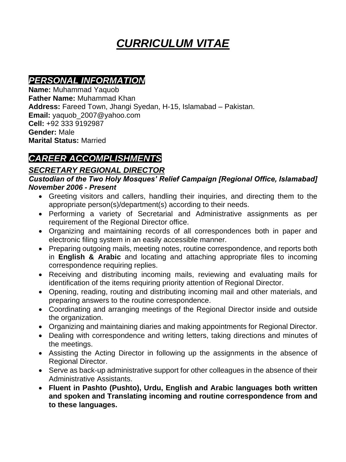# *CURRICULUM VITAE*

### *PERSONAL INFORMATION*

**Name:** Muhammad Yaquob **Father Name:** Muhammad Khan **Address:** Fareed Town, Jhangi Syedan, H-15, Islamabad – Pakistan. **Email:** yaquob\_2007@yahoo.com **Cell:** +92 333 9192987 **Gender:** Male **Marital Status:** Married

### *CAREER ACCOMPLISHMENTS*

#### *SECRETARY REGIONAL DIRECTOR*

*Custodian of the Two Holy Mosques' Relief Campaign [Regional Office, Islamabad] November 2006 - Present* 

- Greeting visitors and callers, handling their inquiries, and directing them to the appropriate person(s)/department(s) according to their needs.
- Performing a variety of Secretarial and Administrative assignments as per requirement of the Regional Director office.
- Organizing and maintaining records of all correspondences both in paper and electronic filing system in an easily accessible manner.
- Preparing outgoing mails, meeting notes, routine correspondence, and reports both in **English & Arabic** and locating and attaching appropriate files to incoming correspondence requiring replies.
- Receiving and distributing incoming mails, reviewing and evaluating mails for identification of the items requiring priority attention of Regional Director.
- Opening, reading, routing and distributing incoming mail and other materials, and preparing answers to the routine correspondence.
- Coordinating and arranging meetings of the Regional Director inside and outside the organization.
- Organizing and maintaining diaries and making appointments for Regional Director.
- Dealing with correspondence and writing letters, taking directions and minutes of the meetings.
- Assisting the Acting Director in following up the assignments in the absence of Regional Director.
- Serve as back-up administrative support for other colleagues in the absence of their Administrative Assistants.
- **Fluent in Pashto (Pushto), Urdu, English and Arabic languages both written and spoken and Translating incoming and routine correspondence from and to these languages.**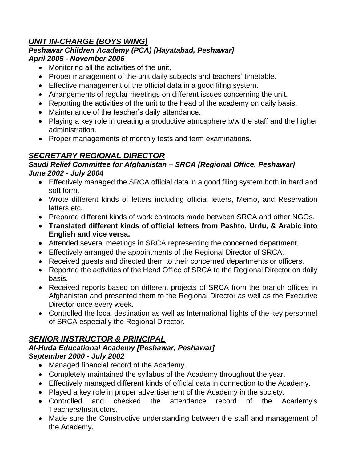#### *UNIT IN-CHARGE (BOYS WING)*

#### *Peshawar Children Academy (PCA) [Hayatabad, Peshawar] April 2005 - November 2006*

- Monitoring all the activities of the unit.
- Proper management of the unit daily subjects and teachers' timetable.
- Effective management of the official data in a good filing system.
- Arrangements of regular meetings on different issues concerning the unit.
- Reporting the activities of the unit to the head of the academy on daily basis.
- Maintenance of the teacher's daily attendance.
- Playing a key role in creating a productive atmosphere b/w the staff and the higher administration.
- Proper managements of monthly tests and term examinations.

### *SECRETARY REGIONAL DIRECTOR*

#### *Saudi Relief Committee for Afghanistan – SRCA [Regional Office, Peshawar] June 2002 - July 2004*

- Effectively managed the SRCA official data in a good filing system both in hard and soft form.
- Wrote different kinds of letters including official letters, Memo, and Reservation letters etc.
- Prepared different kinds of work contracts made between SRCA and other NGOs.
- **Translated different kinds of official letters from Pashto, Urdu, & Arabic into English and vice versa.**
- Attended several meetings in SRCA representing the concerned department.
- Effectively arranged the appointments of the Regional Director of SRCA.
- Received guests and directed them to their concerned departments or officers.
- Reported the activities of the Head Office of SRCA to the Regional Director on daily basis.
- Received reports based on different projects of SRCA from the branch offices in Afghanistan and presented them to the Regional Director as well as the Executive Director once every week.
- Controlled the local destination as well as International flights of the key personnel of SRCA especially the Regional Director.

#### *SENIOR INSTRUCTOR & PRINCIPAL*

#### *Al-Huda Educational Academy [Peshawar, Peshawar] September 2000 - July 2002*

- Managed financial record of the Academy.
- Completely maintained the syllabus of the Academy throughout the year.
- Effectively managed different kinds of official data in connection to the Academy.
- Played a key role in proper advertisement of the Academy in the society.
- Controlled and checked the attendance record of the Academy's Teachers/Instructors.
- Made sure the Constructive understanding between the staff and management of the Academy.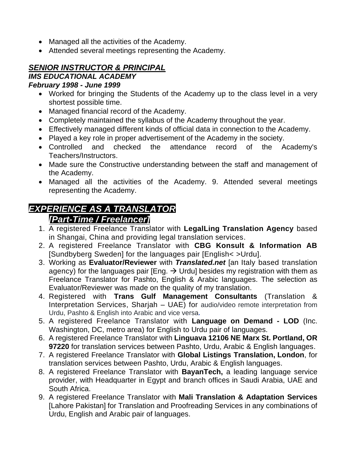- Managed all the activities of the Academy.
- Attended several meetings representing the Academy.

#### *SENIOR INSTRUCTOR & PRINCIPAL*

### *IMS EDUCATIONAL ACADEMY*

#### *February 1998 - June 1999*

- Worked for bringing the Students of the Academy up to the class level in a very shortest possible time.
- Managed financial record of the Academy.
- Completely maintained the syllabus of the Academy throughout the year.
- Effectively managed different kinds of official data in connection to the Academy.
- Played a key role in proper advertisement of the Academy in the society.
- Controlled and checked the attendance record of the Academy's Teachers/Instructors.
- Made sure the Constructive understanding between the staff and management of the Academy.
- Managed all the activities of the Academy. 9. Attended several meetings representing the Academy.

#### *EXPERIENCE AS A TRANSLATOR [Part-Time / Freelancer]*

- 1. A registered Freelance Translator with **LegalLing Translation Agency** based in Shangai, China and providing legal translation services.
- 2. A registered Freelance Translator with **CBG Konsult & Information AB** [Sundbyberg Sweden] for the languages pair [English< >Urdu].
- 3. Working as **Evaluator/Reviewer** with *Translated.net* [an Italy based translation agency) for the languages pair [Eng.  $\rightarrow$  Urdu] besides my registration with them as Freelance Translator for Pashto, English & Arabic languages. The selection as Evaluator/Reviewer was made on the quality of my translation.
- 4. Registered with **Trans Gulf Management Consultants** (Translation & Interpretation Services, Sharjah – UAE) for audio/video remote interpretation from Urdu, Pashto & English into Arabic and vice versa**.**
- 5. A registered Freelance Translator with **Language on Demand - LOD** (Inc. Washington, DC, metro area) for English to Urdu pair of languages.
- 6. A registered Freelance Translator with **Linguava 12106 NE Marx St. Portland, OR 97220** for translation services between Pashto, Urdu, Arabic & English languages.
- 7. A registered Freelance Translator with **Global Listings Translation, London**, for translation services between Pashto, Urdu, Arabic & English languages.
- 8. A registered Freelance Translator with **BayanTech,** a leading language service provider, with Headquarter in Egypt and branch offices in Saudi Arabia, UAE and South Africa.
- 9. A registered Freelance Translator with **Mali Translation & Adaptation Services** [Lahore Pakistan] for Translation and Proofreading Services in any combinations of Urdu, English and Arabic pair of languages.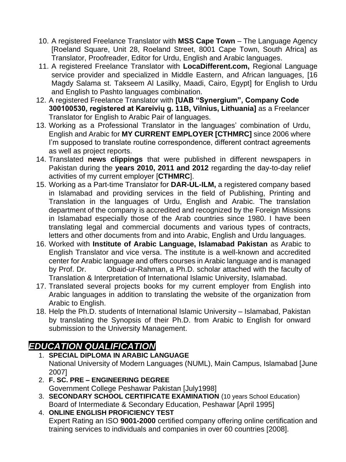- 10. A registered Freelance Translator with **MSS Cape Town** The Language Agency [Roeland Square, Unit 28, Roeland Street, 8001 Cape Town, South Africa] as Translator, Proofreader, Editor for Urdu, English and Arabic languages.
- 11. A registered Freelance Translator with **LocaDifferent.com,** Regional Language service provider and specialized in Middle Eastern, and African languages, [16 Magdy Salama st. Takseem Al Lasilky, Maadi, Cairo, Egypt] for English to Urdu and English to Pashto languages combination.
- 12. A registered Freelance Translator with **[UAB "Synergium", Company Code 300100530, registered at Kareivių g. 11B, Vilnius, Lithuania]** as a Freelancer Translator for English to Arabic Pair of languages.
- 13. Working as a Professional Translator in the languages' combination of Urdu, English and Arabic for **MY CURRENT EMPLOYER [CTHMRC]** since 2006 where I'm supposed to translate routine correspondence, different contract agreements as well as project reports.
- 14. Translated **news clippings** that were published in different newspapers in Pakistan during the **years 2010, 2011 and 2012** regarding the day-to-day relief activities of my current employer [**CTHMRC**].
- 15. Working as a Part-time Translator for **DAR-UL-ILM,** a registered company based in Islamabad and providing services in the field of Publishing, Printing and Translation in the languages of Urdu, English and Arabic. The translation department of the company is accredited and recognized by the Foreign Missions in Islamabad especially those of the Arab countries since 1980. I have been translating legal and commercial documents and various types of contracts, letters and other documents from and into Arabic, English and Urdu languages.
- 16. Worked with **Institute of Arabic Language, Islamabad Pakistan** as Arabic to English Translator and vice versa. The institute is a well-known and accredited center for Arabic language and offers courses in Arabic language and is managed by Prof. Dr. Obaid-ur-Rahman, a Ph.D. scholar attached with the faculty of Translation & Interpretation of International Islamic University, Islamabad.
- 17. Translated several projects books for my current employer from English into Arabic languages in addition to translating the website of the organization from Arabic to English.
- 18. Help the Ph.D. students of International Islamic University Islamabad, Pakistan by translating the Synopsis of their Ph.D. from Arabic to English for onward submission to the University Management.

### *EDUCATION QUALIFICATION*

- 1. **SPECIAL DIPLOMA IN ARABIC LANGUAGE** National University of Modern Languages (NUML), Main Campus, Islamabad [June 2007]
- 2. **F. SC. PRE – ENGINEERING DEGREE** Government College Peshawar Pakistan [July1998]
- 3. **SECONDARY SCHOOL CERTIFICATE EXAMINATION** (10 years School Education) Board of Intermediate & Secondary Education, Peshawar [April 1995]
- 4. **ONLINE ENGLISH PROFICIENCY TEST** Expert Rating an ISO **9001-2000** certified company offering online certification and training services to individuals and companies in over 60 countries [2008].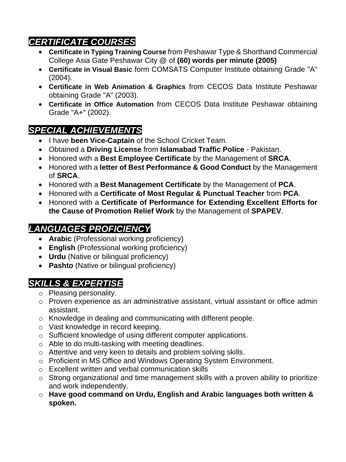# *CERTIFICATE COURSES*

- **Certificate in Typing Training Course** from Peshawar Type & Shorthand Commercial College Asia Gate Peshawar City @ of **(60) words per minute (2005)**
- **Certificate in Visual Basic** form COMSATS Computer Institute obtaining Grade "A" (2004).
- **Certificate in Web Animation & Graphics** from CECOS Data Institute Peshawar obtaining Grade "A" (2003).
- **Certificate in Office Automation** from CECOS Data Institute Peshawar obtaining Grade "A+" (2002).

# *SPECIAL ACHIEVEMENTS*

- I have **been Vice-Captain** of the School Cricket Team.
- Obtained a **Driving License** from **Islamabad Traffic Police** Pakistan.
- Honored with a **Best Employee Certificate** by the Management of **SRCA**.
- Honored with a **letter of Best Performance & Good Conduct** by the Management of **SRCA**.
- Honored with a **Best Management Certificate** by the Management of **PCA**.
- Honored with a **Certificate of Most Regular & Punctual Teacher** from **PCA**.
- Honored with a **Certificate of Performance for Extending Excellent Efforts for the Cause of Promotion Relief Work** by the Management of **SPAPEV**.

### *LANGUAGES PROFICIENCY*

- **Arabic** (Professional working proficiency)
- **English** (Professional working proficiency)
- **Urdu** (Native or bilingual proficiency)
- **Pashto** (Native or bilingual proficiency)

# *SKILLS & EXPERTISE*

- o Pleasing personality.
- o Proven experience as an administrative assistant, virtual assistant or office admin assistant.
- o Knowledge in dealing and communicating with different people.
- o Vast knowledge in record keeping.
- o Sufficient knowledge of using different computer applications.
- o Able to do multi-tasking with meeting deadlines.
- o Attentive and very keen to details and problem solving skills.
- o Proficient in MS Office and Windows Operating System Environment.
- o Excellent written and verbal communication skills
- o Strong organizational and time management skills with a proven ability to prioritize and work independently.
- o **Have good command on Urdu, English and Arabic languages both written & spoken.**